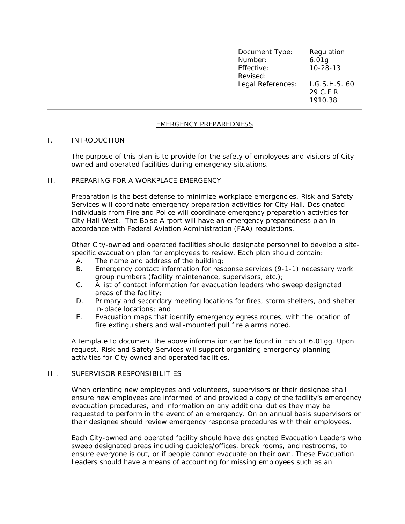| Document Type:    | Regulation     |
|-------------------|----------------|
| Number:           | 6.01g          |
| Effective:        | $10 - 28 - 13$ |
| Revised:          |                |
| Legal References: | I.G.S.H.S. 60  |
|                   | 29 C.F.R.      |
|                   | 1910.38        |

#### EMERGENCY PREPAREDNESS

## I. INTRODUCTION

The purpose of this plan is to provide for the safety of employees and visitors of Cityowned and operated facilities during emergency situations.

## II. PREPARING FOR A WORKPLACE EMERGENCY

Preparation is the best defense to minimize workplace emergencies. Risk and Safety Services will coordinate emergency preparation activities for City Hall. Designated individuals from Fire and Police will coordinate emergency preparation activities for City Hall West. The Boise Airport will have an emergency preparedness plan in accordance with Federal Aviation Administration (FAA) regulations.

Other City-owned and operated facilities should designate personnel to develop a sitespecific evacuation plan for employees to review. Each plan should contain:

- A. The name and address of the building;
- B. Emergency contact information for response services (9-1-1) necessary work group numbers (facility maintenance, supervisors, etc.);
- C. A list of contact information for evacuation leaders who sweep designated areas of the facility;
- D. Primary and secondary meeting locations for fires, storm shelters, and shelter in-place locations; and
- E. Evacuation maps that identify emergency egress routes, with the location of fire extinguishers and wall-mounted pull fire alarms noted.

A template to document the above information can be found in Exhibit 6.01gg. Upon request, Risk and Safety Services will support organizing emergency planning activities for City owned and operated facilities.

#### III. SUPERVISOR RESPONSIBILITIES

When orienting new employees and volunteers, supervisors or their designee shall ensure new employees are informed of and provided a copy of the facility's emergency evacuation procedures, and information on any additional duties they may be requested to perform in the event of an emergency. On an annual basis supervisors or their designee should review emergency response procedures with their employees.

Each City-owned and operated facility should have designated Evacuation Leaders who sweep designated areas including cubicles/offices, break rooms, and restrooms, to ensure everyone is out, or if people cannot evacuate on their own. These Evacuation Leaders should have a means of accounting for missing employees such as an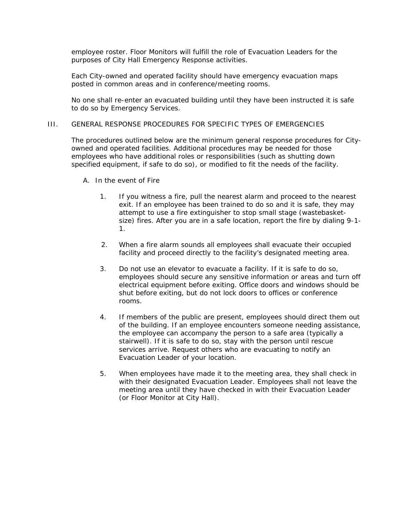employee roster. Floor Monitors will fulfill the role of Evacuation Leaders for the purposes of City Hall Emergency Response activities.

Each City-owned and operated facility should have emergency evacuation maps posted in common areas and in conference/meeting rooms.

No one shall re-enter an evacuated building until they have been instructed it is safe to do so by Emergency Services.

# III. GENERAL RESPONSE PROCEDURES FOR SPECIFIC TYPES OF EMERGENCIES

The procedures outlined below are the minimum general response procedures for Cityowned and operated facilities. Additional procedures may be needed for those employees who have additional roles or responsibilities (such as shutting down specified equipment, if safe to do so), or modified to fit the needs of the facility.

- A. In the event of Fire
	- 1. If you witness a fire, pull the nearest alarm and proceed to the nearest exit. If an employee has been trained to do so and it is safe, they may attempt to use a fire extinguisher to stop small stage (wastebasketsize) fires. After you are in a safe location, report the fire by dialing 9-1- 1.
	- 2. When a fire alarm sounds all employees shall evacuate their occupied facility and proceed directly to the facility's designated meeting area.
	- 3. Do not use an elevator to evacuate a facility. If it is safe to do so, employees should secure any sensitive information or areas and turn off electrical equipment before exiting. Office doors and windows should be shut before exiting, but do not lock doors to offices or conference rooms.
	- 4. If members of the public are present, employees should direct them out of the building. If an employee encounters someone needing assistance, the employee can accompany the person to a safe area (typically a stairwell). If it is safe to do so, stay with the person until rescue services arrive. Request others who are evacuating to notify an Evacuation Leader of your location.
	- 5. When employees have made it to the meeting area, they shall check in with their designated Evacuation Leader. Employees shall not leave the meeting area until they have checked in with their Evacuation Leader (or Floor Monitor at City Hall).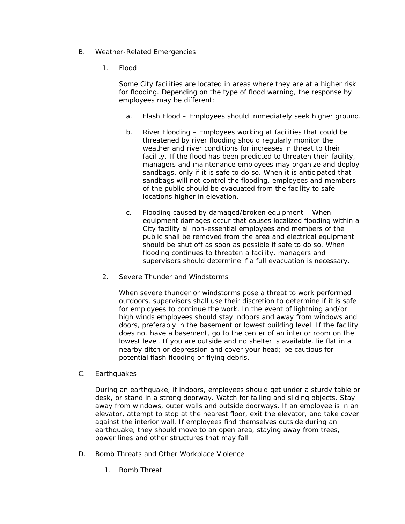- B. Weather-Related Emergencies
	- 1. Flood

Some City facilities are located in areas where they are at a higher risk for flooding. Depending on the type of flood warning, the response by employees may be different;

- a. Flash Flood Employees should immediately seek higher ground.
- b. River Flooding Employees working at facilities that could be threatened by river flooding should regularly monitor the weather and river conditions for increases in threat to their facility. If the flood has been predicted to threaten their facility, managers and maintenance employees may organize and deploy sandbags, only if it is safe to do so. When it is anticipated that sandbags will not control the flooding, employees and members of the public should be evacuated from the facility to safe locations higher in elevation.
- c. Flooding caused by damaged/broken equipment When equipment damages occur that causes localized flooding within a City facility all non-essential employees and members of the public shall be removed from the area and electrical equipment should be shut off as soon as possible if safe to do so. When flooding continues to threaten a facility, managers and supervisors should determine if a full evacuation is necessary.
- 2. Severe Thunder and Windstorms

When severe thunder or windstorms pose a threat to work performed outdoors, supervisors shall use their discretion to determine if it is safe for employees to continue the work. In the event of lightning and/or high winds employees should stay indoors and away from windows and doors, preferably in the basement or lowest building level. If the facility does not have a basement, go to the center of an interior room on the lowest level. If you are outside and no shelter is available, lie flat in a nearby ditch or depression and cover your head; be cautious for potential flash flooding or flying debris.

C. Earthquakes

During an earthquake, if indoors, employees should get under a sturdy table or desk, or stand in a strong doorway. Watch for falling and sliding objects. Stay away from windows, outer walls and outside doorways. If an employee is in an elevator, attempt to stop at the nearest floor, exit the elevator, and take cover against the interior wall. If employees find themselves outside during an earthquake, they should move to an open area, staying away from trees, power lines and other structures that may fall.

- D. Bomb Threats and Other Workplace Violence
	- 1. Bomb Threat